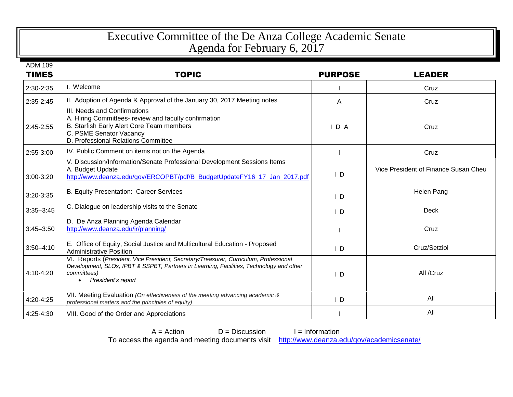## Executive Committee of the De Anza College Academic Senate Agenda for February 6, 2017

ADM 109

| <b>TIMES</b>  | <b>TOPIC</b>                                                                                                                                                                                                                       | <b>PURPOSE</b> | <b>LEADER</b>                        |
|---------------|------------------------------------------------------------------------------------------------------------------------------------------------------------------------------------------------------------------------------------|----------------|--------------------------------------|
| 2:30-2:35     | I. Welcome                                                                                                                                                                                                                         |                | Cruz                                 |
| $2:35-2:45$   | II. Adoption of Agenda & Approval of the January 30, 2017 Meeting notes                                                                                                                                                            | A              | Cruz                                 |
| 2:45-2:55     | III. Needs and Confirmations<br>A. Hiring Committees- review and faculty confirmation<br>B. Starfish Early Alert Core Team members<br>C. PSME Senator Vacancy<br>D. Professional Relations Committee                               | IDA            | Cruz                                 |
| 2:55-3:00     | IV. Public Comment on items not on the Agenda                                                                                                                                                                                      |                | Cruz                                 |
| 3:00-3:20     | V. Discussion/Information/Senate Professional Development Sessions Items<br>A. Budget Update<br>http://www.deanza.edu/gov/ERCOPBT/pdf/B_BudgetUpdateFY16_17_Jan_2017.pdf                                                           | $\mathsf{I}$ D | Vice President of Finance Susan Cheu |
| 3:20-3:35     | B. Equity Presentation: Career Services                                                                                                                                                                                            | $\mathsf{I}$ D | Helen Pang                           |
| $3:35 - 3:45$ | C. Dialogue on leadership visits to the Senate                                                                                                                                                                                     | $\mathsf{I}$ D | <b>Deck</b>                          |
| $3:45 - 3:50$ | D. De Anza Planning Agenda Calendar<br>http://www.deanza.edu/ir/planning/                                                                                                                                                          |                | Cruz                                 |
| $3:50 - 4:10$ | E. Office of Equity, Social Justice and Multicultural Education - Proposed<br><b>Administrative Position</b>                                                                                                                       | $\mathsf{L}$   | Cruz/Setziol                         |
| 4:10-4:20     | VI. Reports (President, Vice President, Secretary/Treasurer, Curriculum, Professional<br>Development, SLOs, IPBT & SSPBT, Partners in Learning, Facilities, Technology and other<br>committees)<br>President's report<br>$\bullet$ | $\mathsf{L}$   | All /Cruz                            |
| 4:20-4:25     | VII. Meeting Evaluation (On effectiveness of the meeting advancing academic &<br>professional matters and the principles of equity)                                                                                                | $\mathsf{L}$   | All                                  |
| 4:25-4:30     | VIII. Good of the Order and Appreciations                                                                                                                                                                                          |                | All                                  |

To access the agenda and meeting documents visit <http://www.deanza.edu/gov/academicsenate/>

 $A =$  Action  $D =$  Discussion I = Information